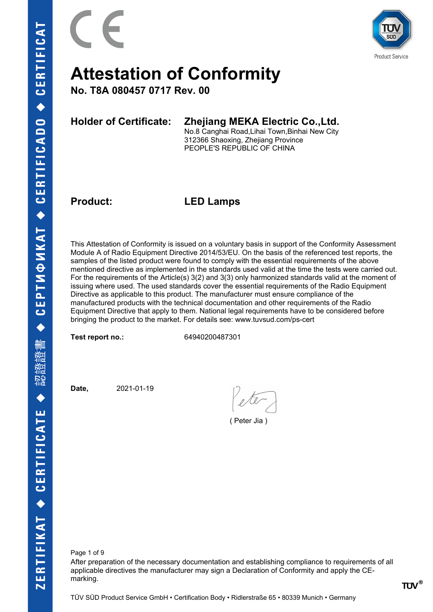

**No. T8A 080457 0717 Rev. 00**

### **Holder of Certificate: Zhejiang MEKA Electric Co.,Ltd.**

No.8 Canghai Road,Lihai Town,Binhai New City 312366 Shaoxing, Zhejiang Province PEOPLE'S REPUBLIC OF CHINA

**Product: LED Lamps**

This Attestation of Conformity is issued on a voluntary basis in support of the Conformity Assessment Module A of Radio Equipment Directive 2014/53/EU. On the basis of the referenced test reports, the samples of the listed product were found to comply with the essential requirements of the above mentioned directive as implemented in the standards used valid at the time the tests were carried out. For the requirements of the Article(s) 3(2) and 3(3) only harmonized standards valid at the moment of issuing where used. The used standards cover the essential requirements of the Radio Equipment Directive as applicable to this product. The manufacturer must ensure compliance of the manufactured products with the technical documentation and other requirements of the Radio Equipment Directive that apply to them. National legal requirements have to be considered before bringing the product to the market. For details see: www.tuvsud.com/ps-cert

**Test report no.:** 64940200487301

**Date,** 2021-01-19

( Peter Jia )

Page 1 of 9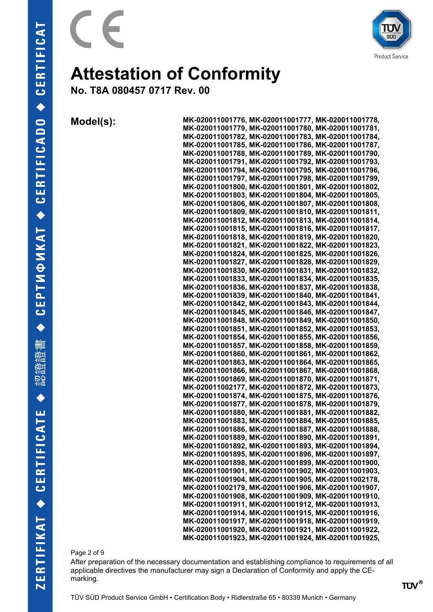

**Product Service** 

### **Attestation of Conformity**

**No. T8A 080457 0717 Rev. 00**

**Model(s): MK-020011001776, MK-020011001777, MK-020011001778, MK-020011001779, MK-020011001780, MK-020011001781, MK-020011001782, MK-020011001783, MK-020011001784, MK-020011001785, MK-020011001786, MK-020011001787, MK-020011001788, MK-020011001789, MK-020011001790, MK-020011001791, MK-020011001792, MK-020011001793, MK-020011001794, MK-020011001795, MK-020011001796, MK-020011001797, MK-020011001798, MK-020011001799, MK-020011001800, MK-020011001801, MK-020011001802, MK-020011001803, MK-020011001804, MK-020011001805, MK-020011001806, MK-020011001807, MK-020011001808, MK-020011001809, MK-020011001810, MK-020011001811, MK-020011001812, MK-020011001813, MK-020011001814, MK-020011001815, MK-020011001816, MK-020011001817, MK-020011001818, MK-020011001819, MK-020011001820, MK-020011001821, MK-020011001822, MK-020011001823, MK-020011001824, MK-020011001825, MK-020011001826, MK-020011001827, MK-020011001828, MK-020011001829, MK-020011001830, MK-020011001831, MK-020011001832, MK-020011001833, MK-020011001834, MK-020011001835, MK-020011001836, MK-020011001837, MK-020011001838, MK-020011001839, MK-020011001840, MK-020011001841, MK-020011001842, MK-020011001843, MK-020011001844, MK-020011001845, MK-020011001846, MK-020011001847, MK-020011001848, MK-020011001849, MK-020011001850, MK-020011001851, MK-020011001852, MK-020011001853, MK-020011001854, MK-020011001855, MK-020011001856, MK-020011001857, MK-020011001858, MK-020011001859, MK-020011001860, MK-020011001861, MK-020011001862, MK-020011001863, MK-020011001864, MK-020011001865, MK-020011001866, MK-020011001867, MK-020011001868, MK-020011001869, MK-020011001870, MK-020011001871, MK-020011002177, MK-020011001872, MK-020011001873, MK-020011001874, MK-020011001875, MK-020011001876, MK-020011001877, MK-020011001878, MK-020011001879, MK-020011001880, MK-020011001881, MK-020011001882, MK-020011001883, MK-020011001884, MK-020011001885, MK-020011001886, MK-020011001887, MK-020011001888, MK-020011001889, MK-020011001890, MK-020011001891, MK-020011001892, MK-020011001893, MK-020011001894, MK-020011001895, MK-020011001896, MK-020011001897, MK-020011001898, MK-020011001899, MK-020011001900, MK-020011001901, MK-020011001902, MK-020011001903, MK-020011001904, MK-020011001905, MK-020011002178, MK-020011002179, MK-020011001906, MK-020011001907, MK-020011001908, MK-020011001909, MK-020011001910, MK-020011001911, MK-020011001912, MK-020011001913, MK-020011001914, MK-020011001915, MK-020011001916, MK-020011001917, MK-020011001918, MK-020011001919, MK-020011001920, MK-020011001921, MK-020011001922, MK-020011001923, MK-020011001924, MK-020011001925,**

Page 2 of 9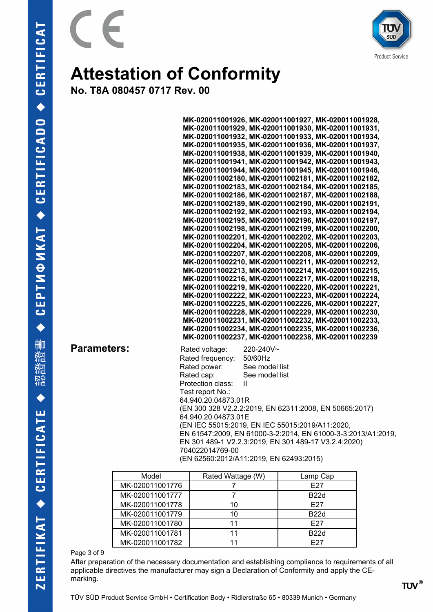

**No. T8A 080457 0717 Rev. 00**

 $\epsilon$ 

 $\overline{a}$ 

|                    | MK-020011001926, MK-020011001927, MK-020011001928,<br>MK-020011001929, MK-020011001930, MK-020011001931,<br>MK-020011001932, MK-020011001933, MK-020011001934,<br>MK-020011001935, MK-020011001936, MK-020011001937,<br>MK-020011001938, MK-020011001939, MK-020011001940,<br>MK-020011001941, MK-020011001942, MK-020011001943,<br>MK-020011001944, MK-020011001945, MK-020011001946,<br>MK-020011002180, MK-020011002181, MK-020011002182,<br>MK-020011002183, MK-020011002184, MK-020011002185,<br>MK-020011002186, MK-020011002187, MK-020011002188,<br>MK-020011002189, MK-020011002190, MK-020011002191,<br>MK-020011002192, MK-020011002193, MK-020011002194,<br>MK-020011002195, MK-020011002196, MK-020011002197,<br>MK-020011002198, MK-020011002199, MK-020011002200,<br>MK-020011002201, MK-020011002202, MK-020011002203,<br>MK-020011002204, MK-020011002205, MK-020011002206,<br>MK-020011002207, MK-020011002208, MK-020011002209,<br>MK-020011002210, MK-020011002211, MK-020011002212,<br>MK-020011002213, MK-020011002214, MK-020011002215,<br>MK-020011002216, MK-020011002217, MK-020011002218,<br>MK-020011002219, MK-020011002220, MK-020011002221,<br>MK-020011002222, MK-020011002223, MK-020011002224,<br>MK-020011002225, MK-020011002226, MK-020011002227,<br>MK-020011002228, MK-020011002229, MK-020011002230,<br>MK-020011002231, MK-020011002232, MK-020011002233,<br>MK-020011002234, MK-020011002235, MK-020011002236,<br>MK-020011002237, MK-020011002238, MK-020011002239 |
|--------------------|---------------------------------------------------------------------------------------------------------------------------------------------------------------------------------------------------------------------------------------------------------------------------------------------------------------------------------------------------------------------------------------------------------------------------------------------------------------------------------------------------------------------------------------------------------------------------------------------------------------------------------------------------------------------------------------------------------------------------------------------------------------------------------------------------------------------------------------------------------------------------------------------------------------------------------------------------------------------------------------------------------------------------------------------------------------------------------------------------------------------------------------------------------------------------------------------------------------------------------------------------------------------------------------------------------------------------------------------------------------------------------------------------------------------------------------------------------------------------------------------------------------|
| <b>Parameters:</b> | Rated voltage:<br>220-240V~<br>Rated frequency:<br>50/60Hz<br>Rated power:<br>See model list<br>Rated cap:<br>See model list<br>Protection class:<br>Ш<br>Test report No.:<br>64.940.20.04873.01R<br>(EN 300 328 V2.2.2:2019, EN 62311:2008, EN 50665:2017)<br>64.940.20.04873.01E<br>(EN IEC 55015:2019, EN IEC 55015:2019/A11:2020,<br>EN 61547:2009, EN 61000-3-2:2014, EN 61000-3-3:2013/A1:2019,<br>EN 301 489-1 V2.2.3:2019, EN 301 489-17 V3.2.4:2020)<br>704022014769-00<br>(EN 62560:2012/A11:2019, EN 62493:2015)                                                                                                                                                                                                                                                                                                                                                                                                                                                                                                                                                                                                                                                                                                                                                                                                                                                                                                                                                                                   |

| Model           | Rated Wattage (W) | Lamp Cap        |
|-----------------|-------------------|-----------------|
| MK-020011001776 |                   | F <sub>27</sub> |
| MK-020011001777 |                   | <b>B22d</b>     |
| MK-020011001778 | 10                | F <sub>27</sub> |
| MK-020011001779 | 10                | <b>B22d</b>     |
| MK-020011001780 |                   | F <sub>27</sub> |
| MK-020011001781 |                   | <b>B22d</b>     |
| MK-020011001782 |                   | F <sub>27</sub> |

#### Page 3 of 9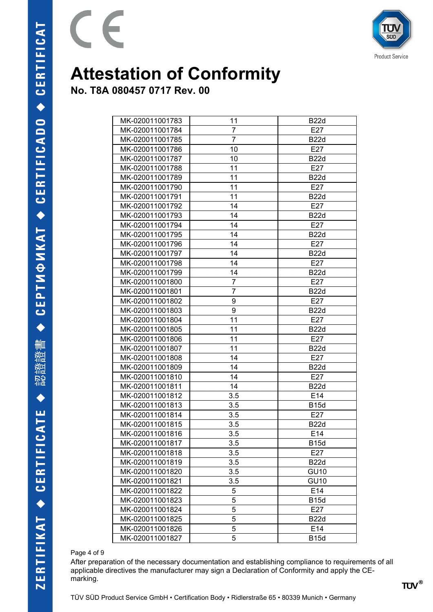

**No. T8A 080457 0717 Rev. 00**

 $\epsilon$ 

 $\overline{a}$ 

| MK-020011001783 | 11             | <b>B22d</b> |
|-----------------|----------------|-------------|
| MK-020011001784 | 7              | E27         |
| MK-020011001785 | $\overline{7}$ | <b>B22d</b> |
| MK-020011001786 | 10             | E27         |
| MK-020011001787 | 10             | <b>B22d</b> |
| MK-020011001788 | 11             | E27         |
| MK-020011001789 | 11             | <b>B22d</b> |
| MK-020011001790 | 11             | E27         |
| MK-020011001791 | 11             | <b>B22d</b> |
| MK-020011001792 | 14             | E27         |
| MK-020011001793 | 14             | <b>B22d</b> |
| MK-020011001794 | 14             | E27         |
| MK-020011001795 | 14             | <b>B22d</b> |
| MK-020011001796 | 14             | E27         |
| MK-020011001797 | 14             | <b>B22d</b> |
| MK-020011001798 | 14             | E27         |
| MK-020011001799 | 14             | <b>B22d</b> |
| MK-020011001800 | $\overline{7}$ | E27         |
| MK-020011001801 | 7              | <b>B22d</b> |
| MK-020011001802 | 9              | E27         |
| MK-020011001803 | 9              | <b>B22d</b> |
| MK-020011001804 | 11             | E27         |
| MK-020011001805 | 11             | <b>B22d</b> |
| MK-020011001806 | 11             | E27         |
| MK-020011001807 | 11             | <b>B22d</b> |
| MK-020011001808 | 14             | E27         |
| MK-020011001809 | 14             | <b>B22d</b> |
| MK-020011001810 | 14             | E27         |
| MK-020011001811 | 14             | <b>B22d</b> |
| MK-020011001812 | 3.5            | E14         |
| MK-020011001813 | 3.5            | <b>B15d</b> |
| MK-020011001814 | 3.5            | E27         |
| MK-020011001815 | 3.5            | <b>B22d</b> |
| MK-020011001816 | 3.5            | E14         |
| MK-020011001817 | 3.5            | <b>B15d</b> |
| MK-020011001818 | 3.5            | E27         |
| MK-020011001819 | 3.5            | <b>B22d</b> |
| MK-020011001820 | 3.5            | <b>GU10</b> |
| MK-020011001821 | 3.5            | <b>GU10</b> |
| MK-020011001822 | 5              | E14         |
| MK-020011001823 | 5              | <b>B15d</b> |
| MK-020011001824 | 5              | E27         |
| MK-020011001825 | 5              | <b>B22d</b> |
| MK-020011001826 | 5              | E14         |
| MK-020011001827 | 5              | <b>B15d</b> |

#### Page 4 of 9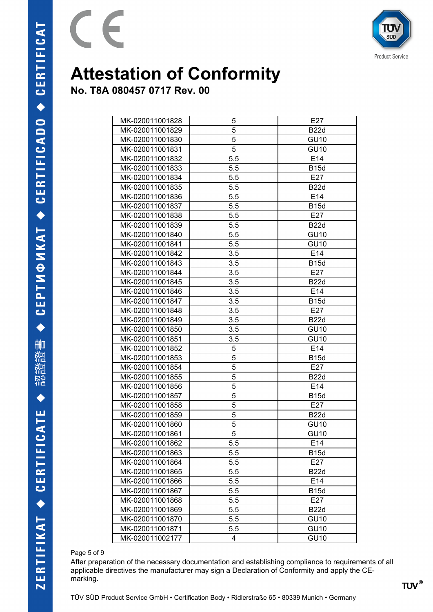

**No. T8A 080457 0717 Rev. 00**

 $\epsilon$ 

| MK-020011001828 | 5   | E27         |
|-----------------|-----|-------------|
| MK-020011001829 | 5   | <b>B22d</b> |
| MK-020011001830 | 5   | <b>GU10</b> |
| MK-020011001831 | 5   | <b>GU10</b> |
| MK-020011001832 | 5.5 | E14         |
| MK-020011001833 | 5.5 | <b>B15d</b> |
| MK-020011001834 | 5.5 | E27         |
| MK-020011001835 | 5.5 | <b>B22d</b> |
| MK-020011001836 | 5.5 | E14         |
| MK-020011001837 | 5.5 | <b>B15d</b> |
| MK-020011001838 | 5.5 | E27         |
| MK-020011001839 | 5.5 | <b>B22d</b> |
| MK-020011001840 | 5.5 | <b>GU10</b> |
| MK-020011001841 | 5.5 | <b>GU10</b> |
| MK-020011001842 | 3.5 | E14         |
| MK-020011001843 | 3.5 | <b>B15d</b> |
| MK-020011001844 | 3.5 | E27         |
| MK-020011001845 | 3.5 | <b>B22d</b> |
| MK-020011001846 | 3.5 | E14         |
| MK-020011001847 | 3.5 | <b>B15d</b> |
| MK-020011001848 | 3.5 | E27         |
| MK-020011001849 | 3.5 | <b>B22d</b> |
| MK-020011001850 | 3.5 | <b>GU10</b> |
| MK-020011001851 | 3.5 | <b>GU10</b> |
| MK-020011001852 | 5   | E14         |
| MK-020011001853 | 5   | <b>B15d</b> |
| MK-020011001854 | 5   | E27         |
| MK-020011001855 | 5   | <b>B22d</b> |
| MK-020011001856 | 5   | E14         |
| MK-020011001857 | 5   | <b>B15d</b> |
| MK-020011001858 | 5   | E27         |
| MK-020011001859 | 5   | <b>B22d</b> |
| MK-020011001860 | 5   | <b>GU10</b> |
| MK-020011001861 | 5   | <b>GU10</b> |
| MK-020011001862 | 5.5 | E14         |
| MK-020011001863 | 5.5 | <b>B15d</b> |
| MK-020011001864 | 5.5 | E27         |
| MK-020011001865 | 5.5 | <b>B22d</b> |
| MK-020011001866 | 5.5 | E14         |
| MK-020011001867 | 5.5 | <b>B15d</b> |
| MK-020011001868 | 5.5 | E27         |
| MK-020011001869 | 5.5 | <b>B22d</b> |
| MK-020011001870 | 5.5 | <b>GU10</b> |
| MK-020011001871 | 5.5 | <b>GU10</b> |
| MK-020011002177 | 4   | <b>GU10</b> |

#### Page 5 of 9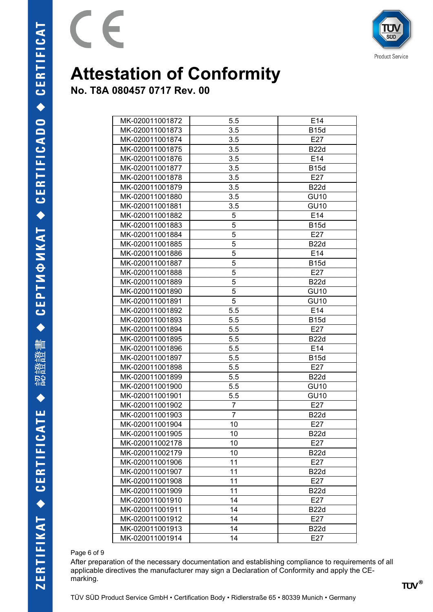

**No. T8A 080457 0717 Rev. 00**

 $\epsilon$ 

| MK-020011001872 | 5.5            | E <sub>14</sub> |
|-----------------|----------------|-----------------|
| MK-020011001873 | 3.5            | <b>B15d</b>     |
| MK-020011001874 | 3.5            | E27             |
| MK-020011001875 | 3.5            | <b>B22d</b>     |
| MK-020011001876 | 3.5            | E14             |
| MK-020011001877 | 3.5            | <b>B15d</b>     |
| MK-020011001878 | 3.5            | E27             |
| MK-020011001879 | 3.5            | <b>B22d</b>     |
| MK-020011001880 | 3.5            | <b>GU10</b>     |
| MK-020011001881 | 3.5            | <b>GU10</b>     |
| MK-020011001882 | 5              | E14             |
| MK-020011001883 | $\overline{5}$ | <b>B15d</b>     |
| MK-020011001884 | 5              | E27             |
| MK-020011001885 | 5              | <b>B22d</b>     |
| MK-020011001886 | 5              | E14             |
| MK-020011001887 | 5              | <b>B15d</b>     |
| MK-020011001888 | 5              | E27             |
| MK-020011001889 | 5              | <b>B22d</b>     |
| MK-020011001890 | 5              | <b>GU10</b>     |
| MK-020011001891 | 5              | <b>GU10</b>     |
| MK-020011001892 | 5.5            | E14             |
| MK-020011001893 | 5.5            | <b>B15d</b>     |
| MK-020011001894 | 5.5            | E27             |
| MK-020011001895 | 5.5            | <b>B22d</b>     |
| MK-020011001896 | 5.5            | E <sub>14</sub> |
| MK-020011001897 | 5.5            | <b>B15d</b>     |
| MK-020011001898 | 5.5            | E27             |
| MK-020011001899 | 5.5            | <b>B22d</b>     |
| MK-020011001900 | 5.5            | <b>GU10</b>     |
| MK-020011001901 | 5.5            | <b>GU10</b>     |
| MK-020011001902 | $\overline{7}$ | E27             |
| MK-020011001903 | $\overline{7}$ | <b>B22d</b>     |
| MK-020011001904 | 10             | E27             |
| MK-020011001905 | 10             | <b>B22d</b>     |
| MK-020011002178 | 10             | E27             |
| MK-020011002179 | 10             | <b>B22d</b>     |
| MK-020011001906 | 11             | E27             |
| MK-020011001907 | 11             | <b>B22d</b>     |
| MK-020011001908 | 11             | E27             |
| MK-020011001909 | 11             | <b>B22d</b>     |
| MK-020011001910 | 14             | E27             |
| MK-020011001911 | 14             | <b>B22d</b>     |
| MK-020011001912 | 14             | E27             |
| MK-020011001913 | 14             | <b>B22d</b>     |
| MK-020011001914 | 14             | E27             |

#### Page 6 of 9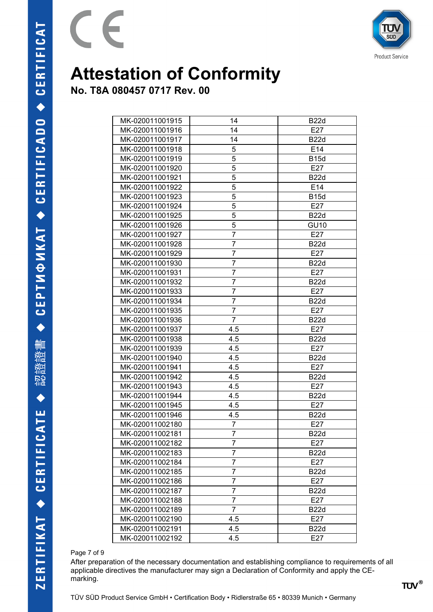

**No. T8A 080457 0717 Rev. 00**

 $\epsilon$ 

 $\overline{a}$ 

| MK-020011001915 | 14             | <b>B22d</b> |
|-----------------|----------------|-------------|
| MK-020011001916 | 14             | E27         |
| MK-020011001917 | 14             | <b>B22d</b> |
| MK-020011001918 | 5              | E14         |
| MK-020011001919 | 5              | <b>B15d</b> |
| MK-020011001920 | 5              | E27         |
| MK-020011001921 | 5              | <b>B22d</b> |
| MK-020011001922 | 5              | E14         |
| MK-020011001923 | 5              | <b>B15d</b> |
| MK-020011001924 | 5              | E27         |
| MK-020011001925 | 5              | <b>B22d</b> |
| MK-020011001926 | 5              | <b>GU10</b> |
| MK-020011001927 | 7              | E27         |
| MK-020011001928 | 7              | <b>B22d</b> |
| MK-020011001929 | $\overline{7}$ | E27         |
| MK-020011001930 | 7              | <b>B22d</b> |
| MK-020011001931 | 7              | E27         |
| MK-020011001932 | $\overline{7}$ | <b>B22d</b> |
| MK-020011001933 | 7              | E27         |
| MK-020011001934 | 7              | <b>B22d</b> |
| MK-020011001935 | $\overline{7}$ | E27         |
| MK-020011001936 | 7              | <b>B22d</b> |
| MK-020011001937 | 4.5            | E27         |
| MK-020011001938 | 4.5            | <b>B22d</b> |
| MK-020011001939 | 4.5            | E27         |
| MK-020011001940 | 4.5            | <b>B22d</b> |
| MK-020011001941 | 4.5            | E27         |
| MK-020011001942 | 4.5            | <b>B22d</b> |
| MK-020011001943 | 4.5            | E27         |
| MK-020011001944 | 4.5            | <b>B22d</b> |
| MK-020011001945 | 4.5            | E27         |
| MK-020011001946 | 4.5            | <b>B22d</b> |
| MK-020011002180 | 7              | E27         |
| MK-020011002181 | 7              | <b>B22d</b> |
| MK-020011002182 | ſ              | E27         |
| MK-020011002183 | 7              | <b>B22d</b> |
| MK-020011002184 | $\overline{7}$ | E27         |
| MK-020011002185 | $\overline{7}$ | <b>B22d</b> |
| MK-020011002186 | 7              | E27         |
| MK-020011002187 | 7              | <b>B22d</b> |
| MK-020011002188 | 7              | E27         |
| MK-020011002189 | $\overline{7}$ | <b>B22d</b> |
| MK-020011002190 | 4.5            | E27         |
| MK-020011002191 | 4.5            | <b>B22d</b> |
| MK-020011002192 | 4.5            | E27         |

#### Page 7 of 9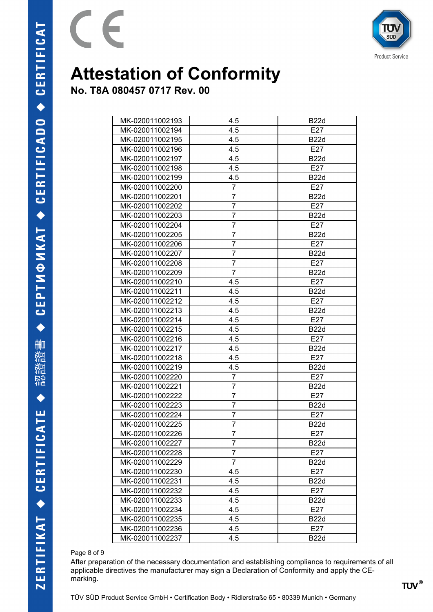

**No. T8A 080457 0717 Rev. 00**

 $\epsilon$ 

| MK-020011002193 | 4.5            | <b>B22d</b> |
|-----------------|----------------|-------------|
| MK-020011002194 | 4.5            | E27         |
| MK-020011002195 | 4.5            | <b>B22d</b> |
| MK-020011002196 | 4.5            | E27         |
| MK-020011002197 | 4.5            | <b>B22d</b> |
| MK-020011002198 | 4.5            | E27         |
| MK-020011002199 | 4.5            | <b>B22d</b> |
| MK-020011002200 | $\overline{7}$ | E27         |
| MK-020011002201 | 7              | <b>B22d</b> |
| MK-020011002202 | $\overline{7}$ | E27         |
| MK-020011002203 | 7              | <b>B22d</b> |
| MK-020011002204 | $\overline{7}$ | E27         |
| MK-020011002205 | 7              | <b>B22d</b> |
| MK-020011002206 | 7              | E27         |
| MK-020011002207 | $\overline{7}$ | <b>B22d</b> |
| MK-020011002208 | 7              | E27         |
| MK-020011002209 | $\overline{7}$ | <b>B22d</b> |
| MK-020011002210 | 4.5            | E27         |
| MK-020011002211 | 4.5            | <b>B22d</b> |
| MK-020011002212 | 4.5            | E27         |
| MK-020011002213 | 4.5            | <b>B22d</b> |
| MK-020011002214 | 4.5            | E27         |
| MK-020011002215 | 4.5            | <b>B22d</b> |
| MK-020011002216 | 4.5            | E27         |
| MK-020011002217 | 4.5            | <b>B22d</b> |
| MK-020011002218 | 4.5            | E27         |
| MK-020011002219 | 4.5            | <b>B22d</b> |
| MK-020011002220 | 7              | E27         |
| MK-020011002221 | $\overline{7}$ | <b>B22d</b> |
| MK-020011002222 | $\overline{7}$ | E27         |
| MK-020011002223 | 7              | <b>B22d</b> |
| MK-020011002224 | $\overline{7}$ | E27         |
| MK-020011002225 | 7              | <b>B22d</b> |
| MK-020011002226 | 7              | E27         |
| MK-020011002227 | ſ              | <b>B22d</b> |
| MK-020011002228 | 7              | E27         |
| MK-020011002229 | $\overline{7}$ | <b>B22d</b> |
| MK-020011002230 | 4.5            | E27         |
| MK-020011002231 | 4.5            | <b>B22d</b> |
| MK-020011002232 | 4.5            | E27         |
| MK-020011002233 | 4.5            | <b>B22d</b> |
| MK-020011002234 | 4.5            | E27         |
| MK-020011002235 | 4.5            | <b>B22d</b> |
| MK-020011002236 | 4.5            | E27         |
| MK-020011002237 | 4.5            | <b>B22d</b> |

#### Page 8 of 9